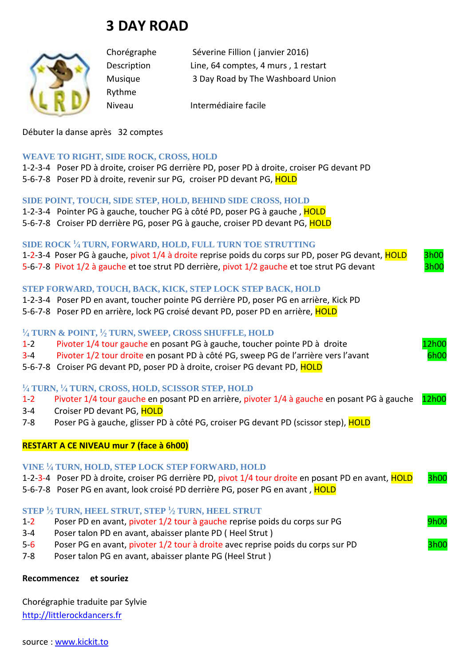# **3 DAY ROAD**



Rythme

Chorégraphe Séverine Fillion ( janvier 2016) Description Line, 64 comptes, 4 murs , 1 restart Musique 3 Day Road by The Washboard Union

Niveau Intermédiaire facile

Débuter la danse après 32 comptes

#### **WEAVE TO RIGHT, SIDE ROCK, CROSS, HOLD**

1-2-3-4 Poser PD à droite, croiser PG derrière PD, poser PD à droite, croiser PG devant PD 5-6-7-8 Poser PD à droite, revenir sur PG, croiser PD devant PG, HOLD

### **SIDE POINT, TOUCH, SIDE STEP, HOLD, BEHIND SIDE CROSS, HOLD**

- 1-2-3-4 Pointer PG à gauche, toucher PG à côté PD, poser PG à gauche, HOLD
- 5-6-7-8 Croiser PD derrière PG, poser PG à gauche, croiser PD devant PG, HOLD

## **SIDE ROCK <sup>1</sup> ⁄<sup>4</sup> TURN, FORWARD, HOLD, FULL TURN TOE STRUTTING**

1-2-3-4 Poser PG à gauche, pivot 1/4 à droite reprise poids du corps sur PD, poser PG devant, **HOLD** 3h00 5-6-7-8 Pivot 1/2 à gauche et toe strut PD derrière, pivot 1/2 gauche et toe strut PG devant

## **STEP FORWARD, TOUCH, BACK, KICK, STEP LOCK STEP BACK, HOLD**

- 1-2-3-4 Poser PD en avant, toucher pointe PG derrière PD, poser PG en arrière, Kick PD
- 5-6-7-8 Poser PD en arrière, lock PG croisé devant PD, poser PD en arrière, HOLD

#### **1 ⁄<sup>4</sup> TURN & POINT, <sup>1</sup> ⁄<sup>2</sup> TURN, SWEEP, CROSS SHUFFLE, HOLD**

- 1-2 Pivoter 1/4 tour gauche en posant PG à gauche, toucher pointe PD à droite 12h00
- 3-4 Pivoter 1/2 tour droite en posant PD à côté PG, sweep PG de l'arrière vers l'avant 6h00
- 5-6-7-8 Croiser PG devant PD, poser PD à droite, croiser PG devant PD, HOLD

## **1 ⁄<sup>4</sup> TURN, <sup>1</sup> ⁄<sup>4</sup> TURN, CROSS, HOLD, SCISSOR STEP, HOLD**

- 1-2 Pivoter 1/4 tour gauche en posant PD en arrière, pivoter 1/4 à gauche en posant PG à gauche 12h00
- 3-4 Croiser PD devant PG, HOLD
- 7-8 Poser PG à gauche, glisser PD à côté PG, croiser PG devant PD (scissor step), **HOLD**

#### **RESTART A CE NIVEAU mur 7 (face à 6h00)**

#### **VINE <sup>1</sup> ⁄<sup>4</sup> TURN, HOLD, STEP LOCK STEP FORWARD, HOLD**

| 1-2-3-4 Poser PD à droite, croiser PG derrière PD, pivot 1/4 tour droite en posant PD en avant, HOLD | 3h00 |
|------------------------------------------------------------------------------------------------------|------|
| 5-6-7-8 Poser PG en avant, look croisé PD derrière PG, poser PG en avant, HOLD                       |      |

#### **STEP <sup>1</sup> ⁄<sup>2</sup> TURN, HEEL STRUT, STEP <sup>1</sup> ⁄<sup>2</sup> TURN, HEEL STRUT**

- 1-2 Poser PD en avant, pivoter 1/2 tour à gauche reprise poids du corps sur PG 9h00
- 3-4 Poser talon PD en avant, abaisser plante PD ( Heel Strut )
- 5-6 Poser PG en avant, pivoter 1/2 tour à droite avec reprise poids du corps sur PD 3h00
- 7-8 Poser talon PG en avant, abaisser plante PG (Heel Strut )

## **Recommencez et souriez**

Chorégraphie traduite par Sylvie [http://littlerockdancers.fr](http://littlerockdancers.fr/) 

source : [www.kickit.to](http://www.kickit.to/)